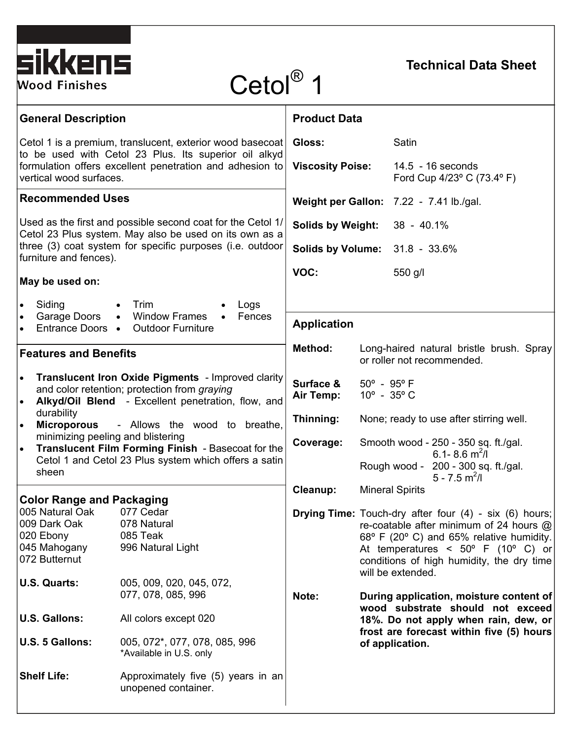| sikkens<br><b>Wood Finishes</b>                                                                                                                                                                                                                                                                                                                                                                                                          | Cetol® 1                                                                                                                            |                                                                       |                                                                                                                                       | <b>Technical Data Sheet</b>                                                                                                                                                                                                                                             |  |
|------------------------------------------------------------------------------------------------------------------------------------------------------------------------------------------------------------------------------------------------------------------------------------------------------------------------------------------------------------------------------------------------------------------------------------------|-------------------------------------------------------------------------------------------------------------------------------------|-----------------------------------------------------------------------|---------------------------------------------------------------------------------------------------------------------------------------|-------------------------------------------------------------------------------------------------------------------------------------------------------------------------------------------------------------------------------------------------------------------------|--|
| <b>General Description</b>                                                                                                                                                                                                                                                                                                                                                                                                               |                                                                                                                                     | <b>Product Data</b>                                                   |                                                                                                                                       |                                                                                                                                                                                                                                                                         |  |
| Cetol 1 is a premium, translucent, exterior wood basecoat<br>to be used with Cetol 23 Plus. Its superior oil alkyd<br>formulation offers excellent penetration and adhesion to<br>vertical wood surfaces.                                                                                                                                                                                                                                |                                                                                                                                     | Gloss:<br><b>Viscosity Poise:</b>                                     |                                                                                                                                       | Satin<br>$14.5 - 16$ seconds<br>Ford Cup 4/23° C (73.4° F)                                                                                                                                                                                                              |  |
| <b>Recommended Uses</b>                                                                                                                                                                                                                                                                                                                                                                                                                  |                                                                                                                                     | Weight per Gallon: 7.22 - 7.41 lb./gal.                               |                                                                                                                                       |                                                                                                                                                                                                                                                                         |  |
| Used as the first and possible second coat for the Cetol 1/<br>Cetol 23 Plus system. May also be used on its own as a<br>three (3) coat system for specific purposes (i.e. outdoor<br>furniture and fences).                                                                                                                                                                                                                             |                                                                                                                                     | Solids by Weight: 38 - 40.1%<br><b>Solids by Volume: 31.8 - 33.6%</b> |                                                                                                                                       |                                                                                                                                                                                                                                                                         |  |
| May be used on:                                                                                                                                                                                                                                                                                                                                                                                                                          |                                                                                                                                     | VOC:                                                                  |                                                                                                                                       | 550 g/l                                                                                                                                                                                                                                                                 |  |
| Siding<br>$\bullet$<br>Garage Doors<br>$\bullet$                                                                                                                                                                                                                                                                                                                                                                                         | $\bullet$ Trim<br>Logs<br>• Window Frames<br>Fences<br>$\bullet$<br>Entrance Doors • Outdoor Furniture                              |                                                                       | <b>Application</b>                                                                                                                    |                                                                                                                                                                                                                                                                         |  |
| <b>Features and Benefits</b>                                                                                                                                                                                                                                                                                                                                                                                                             |                                                                                                                                     | <b>Method:</b>                                                        | Long-haired natural bristle brush. Spray<br>or roller not recommended.                                                                |                                                                                                                                                                                                                                                                         |  |
| <b>Translucent Iron Oxide Pigments</b> - Improved clarity<br>$\bullet$<br>and color retention; protection from graying<br>Alkyd/Oil Blend - Excellent penetration, flow, and<br>$\bullet$<br>durability<br>- Allows the wood to breathe,<br><b>Microporous</b><br>minimizing peeling and blistering<br>Translucent Film Forming Finish - Basecoat for the<br>$\bullet$<br>Cetol 1 and Cetol 23 Plus system which offers a satin<br>sheen |                                                                                                                                     | Surface &<br>Air Temp:                                                | $50^{\circ}$ - $95^{\circ}$ F<br>$10^{\circ}$ - 35 $^{\circ}$ C                                                                       |                                                                                                                                                                                                                                                                         |  |
|                                                                                                                                                                                                                                                                                                                                                                                                                                          |                                                                                                                                     | Thinning:                                                             |                                                                                                                                       | None; ready to use after stirring well.                                                                                                                                                                                                                                 |  |
|                                                                                                                                                                                                                                                                                                                                                                                                                                          |                                                                                                                                     | Coverage:                                                             | Smooth wood - 250 - 350 sq. ft./gal.<br>6.1-8.6 $\text{m}^2$ /l<br>Rough wood - 200 - 300 sq. ft./gal.<br>$5 - 7.5$ m <sup>2</sup> /l |                                                                                                                                                                                                                                                                         |  |
| <b>Color Range and Packaging</b>                                                                                                                                                                                                                                                                                                                                                                                                         |                                                                                                                                     | Cleanup:                                                              | <b>Mineral Spirits</b>                                                                                                                |                                                                                                                                                                                                                                                                         |  |
| 005 Natural Oak<br>009 Dark Oak<br>020 Ebony<br>045 Mahogany<br>072 Butternut                                                                                                                                                                                                                                                                                                                                                            | 077 Cedar<br>078 Natural<br>085 Teak<br>996 Natural Light                                                                           |                                                                       |                                                                                                                                       | <b>Drying Time:</b> Touch-dry after four (4) - six (6) hours;<br>re-coatable after minimum of 24 hours $@$<br>68° F (20° C) and 65% relative humidity.<br>At temperatures < $50^{\circ}$ F (10° C) or<br>conditions of high humidity, the dry time<br>will be extended. |  |
| U.S. Quarts:<br><b>U.S. Gallons:</b><br>U.S. 5 Gallons:                                                                                                                                                                                                                                                                                                                                                                                  | 005, 009, 020, 045, 072,<br>077, 078, 085, 996<br>All colors except 020<br>005, 072*, 077, 078, 085, 996<br>*Available in U.S. only | Note:                                                                 |                                                                                                                                       | During application, moisture content of<br>wood substrate should not exceed<br>18%. Do not apply when rain, dew, or<br>frost are forecast within five (5) hours<br>of application.                                                                                      |  |
|                                                                                                                                                                                                                                                                                                                                                                                                                                          |                                                                                                                                     |                                                                       |                                                                                                                                       |                                                                                                                                                                                                                                                                         |  |

**Shelf Life:** Approximately five (5) years in an

unopened container.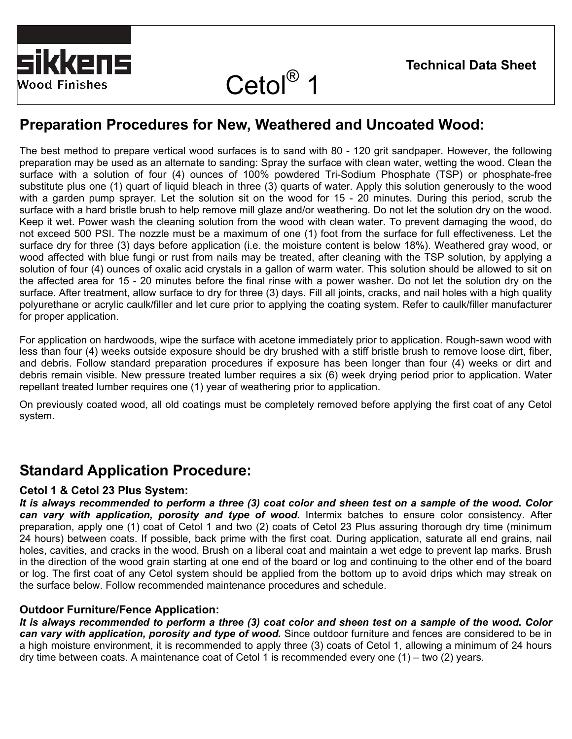

# Cetol<sup>®</sup> 1

## **Preparation Procedures for New, Weathered and Uncoated Wood:**

The best method to prepare vertical wood surfaces is to sand with 80 - 120 grit sandpaper. However, the following preparation may be used as an alternate to sanding: Spray the surface with clean water, wetting the wood. Clean the surface with a solution of four (4) ounces of 100% powdered Tri-Sodium Phosphate (TSP) or phosphate-free substitute plus one (1) quart of liquid bleach in three (3) quarts of water. Apply this solution generously to the wood with a garden pump sprayer. Let the solution sit on the wood for 15 - 20 minutes. During this period, scrub the surface with a hard bristle brush to help remove mill glaze and/or weathering. Do not let the solution dry on the wood. Keep it wet. Power wash the cleaning solution from the wood with clean water. To prevent damaging the wood, do not exceed 500 PSI. The nozzle must be a maximum of one (1) foot from the surface for full effectiveness. Let the surface dry for three (3) days before application (i.e. the moisture content is below 18%). Weathered gray wood, or wood affected with blue fungi or rust from nails may be treated, after cleaning with the TSP solution, by applying a solution of four (4) ounces of oxalic acid crystals in a gallon of warm water. This solution should be allowed to sit on the affected area for 15 - 20 minutes before the final rinse with a power washer. Do not let the solution dry on the surface. After treatment, allow surface to dry for three (3) days. Fill all joints, cracks, and nail holes with a high quality polyurethane or acrylic caulk/filler and let cure prior to applying the coating system. Refer to caulk/filler manufacturer for proper application.

For application on hardwoods, wipe the surface with acetone immediately prior to application. Rough-sawn wood with less than four (4) weeks outside exposure should be dry brushed with a stiff bristle brush to remove loose dirt, fiber, and debris. Follow standard preparation procedures if exposure has been longer than four (4) weeks or dirt and debris remain visible. New pressure treated lumber requires a six (6) week drying period prior to application. Water repellant treated lumber requires one (1) year of weathering prior to application.

On previously coated wood, all old coatings must be completely removed before applying the first coat of any Cetol system.

## **Standard Application Procedure:**

#### **Cetol 1 & Cetol 23 Plus System:**

*It is always recommended to perform a three (3) coat color and sheen test on a sample of the wood***.** *Color can vary with application, porosity and type of wood.* Intermix batches to ensure color consistency. After preparation, apply one (1) coat of Cetol 1 and two (2) coats of Cetol 23 Plus assuring thorough dry time (minimum 24 hours) between coats. If possible, back prime with the first coat. During application, saturate all end grains, nail holes, cavities, and cracks in the wood. Brush on a liberal coat and maintain a wet edge to prevent lap marks. Brush in the direction of the wood grain starting at one end of the board or log and continuing to the other end of the board or log. The first coat of any Cetol system should be applied from the bottom up to avoid drips which may streak on the surface below. Follow recommended maintenance procedures and schedule.

#### **Outdoor Furniture/Fence Application:**

*It is always recommended to perform a three (3) coat color and sheen test on a sample of the wood***.** *Color can vary with application, porosity and type of wood.* Since outdoor furniture and fences are considered to be in a high moisture environment, it is recommended to apply three (3) coats of Cetol 1, allowing a minimum of 24 hours dry time between coats. A maintenance coat of Cetol 1 is recommended every one (1) – two (2) years.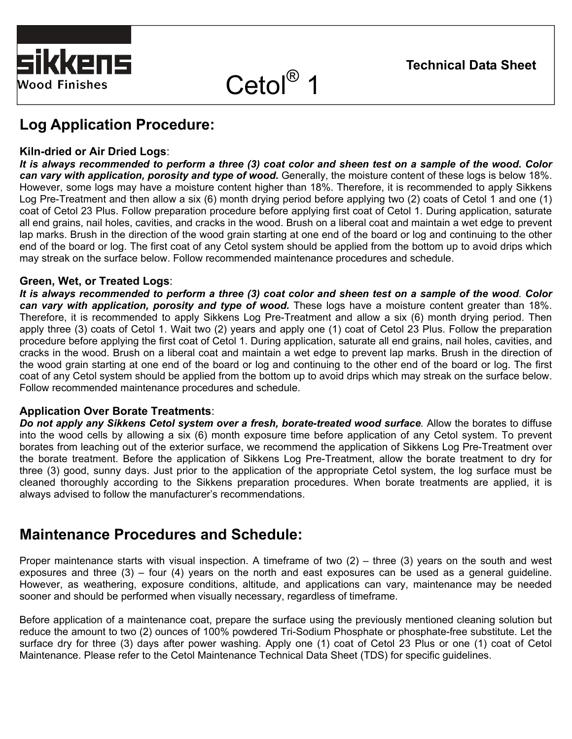



Cetol<sup>®</sup> 1

## **Log Application Procedure:**

#### **Kiln-dried or Air Dried Logs**:

*It is always recommended to perform a three (3) coat color and sheen test on a sample of the wood***.** *Color can vary with application, porosity and type of wood.* Generally, the moisture content of these logs is below 18%. However, some logs may have a moisture content higher than 18%. Therefore, it is recommended to apply Sikkens Log Pre-Treatment and then allow a six (6) month drying period before applying two (2) coats of Cetol 1 and one (1) coat of Cetol 23 Plus. Follow preparation procedure before applying first coat of Cetol 1. During application, saturate all end grains, nail holes, cavities, and cracks in the wood. Brush on a liberal coat and maintain a wet edge to prevent lap marks. Brush in the direction of the wood grain starting at one end of the board or log and continuing to the other end of the board or log. The first coat of any Cetol system should be applied from the bottom up to avoid drips which may streak on the surface below. Follow recommended maintenance procedures and schedule.

#### **Green, Wet, or Treated Logs**:

*It is always recommended to perform a three (3) coat color and sheen test on a sample of the wood*. *Color*  can vary with application, porosity and type of wood. These logs have a moisture content greater than 18%. Therefore, it is recommended to apply Sikkens Log Pre-Treatment and allow a six (6) month drying period. Then apply three (3) coats of Cetol 1. Wait two (2) years and apply one (1) coat of Cetol 23 Plus. Follow the preparation procedure before applying the first coat of Cetol 1. During application, saturate all end grains, nail holes, cavities, and cracks in the wood. Brush on a liberal coat and maintain a wet edge to prevent lap marks. Brush in the direction of the wood grain starting at one end of the board or log and continuing to the other end of the board or log. The first coat of any Cetol system should be applied from the bottom up to avoid drips which may streak on the surface below. Follow recommended maintenance procedures and schedule.

#### **Application Over Borate Treatments**:

*Do not apply any Sikkens Cetol system over a fresh, borate-treated wood surface.* Allow the borates to diffuse into the wood cells by allowing a six (6) month exposure time before application of any Cetol system. To prevent borates from leaching out of the exterior surface, we recommend the application of Sikkens Log Pre-Treatment over the borate treatment. Before the application of Sikkens Log Pre-Treatment, allow the borate treatment to dry for three (3) good, sunny days. Just prior to the application of the appropriate Cetol system, the log surface must be cleaned thoroughly according to the Sikkens preparation procedures. When borate treatments are applied, it is always advised to follow the manufacturer's recommendations.

## **Maintenance Procedures and Schedule:**

Proper maintenance starts with visual inspection. A timeframe of two (2) – three (3) years on the south and west exposures and three (3) – four (4) years on the north and east exposures can be used as a general guideline. However, as weathering, exposure conditions, altitude, and applications can vary, maintenance may be needed sooner and should be performed when visually necessary, regardless of timeframe.

Before application of a maintenance coat, prepare the surface using the previously mentioned cleaning solution but reduce the amount to two (2) ounces of 100% powdered Tri-Sodium Phosphate or phosphate-free substitute. Let the surface dry for three (3) days after power washing. Apply one (1) coat of Cetol 23 Plus or one (1) coat of Cetol Maintenance. Please refer to the Cetol Maintenance Technical Data Sheet (TDS) for specific guidelines.